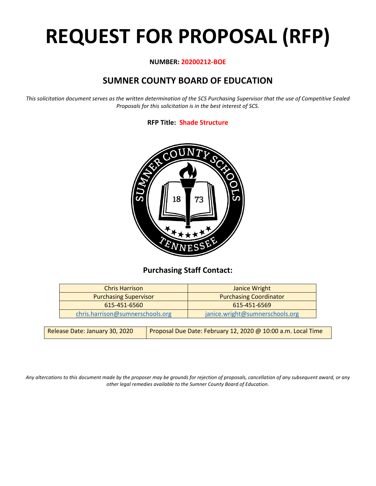# **REQUEST FOR PROPOSAL (RFP)**

#### **NUMBER: 20200212-BOE**

# **SUMNER COUNTY BOARD OF EDUCATION**

*This solicitation document serves as the written determination of the SCS Purchasing Supervisor that the use of Competitive Sealed Proposals for this solicitation is in the best interest of SCS.*

### **RFP Title: Shade Structure**



## **Purchasing Staff Contact:**

| Janice Wright                   |
|---------------------------------|
| <b>Purchasing Coordinator</b>   |
| 615-451-6569                    |
| janice.wright@sumnerschools.org |
|                                 |

| Release Date: January 30, 2020 | Proposal Due Date: February 12, 2020 @ 10:00 a.m. Local Time |
|--------------------------------|--------------------------------------------------------------|
|--------------------------------|--------------------------------------------------------------|

*Any altercations to this document made by the proposer may be grounds for rejection of proposals, cancellation of any subsequent award, or any other legal remedies available to the Sumner County Board of Education.*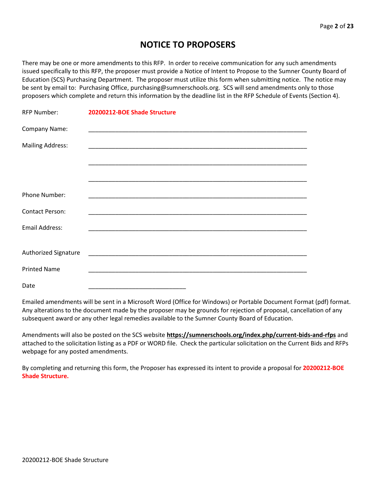## **NOTICE TO PROPOSERS**

There may be one or more amendments to this RFP. In order to receive communication for any such amendments issued specifically to this RFP, the proposer must provide a Notice of Intent to Propose to the Sumner County Board of Education (SCS) Purchasing Department. The proposer must utilize this form when submitting notice. The notice may be sent by email to: Purchasing Office, purchasing@sumnerschools.org. SCS will send amendments only to those proposers which complete and return this information by the deadline list in the RFP Schedule of Events (Section 4).

| <b>RFP Number:</b>      | 20200212-BOE Shade Structure                                                                                         |
|-------------------------|----------------------------------------------------------------------------------------------------------------------|
| Company Name:           |                                                                                                                      |
| <b>Mailing Address:</b> |                                                                                                                      |
|                         |                                                                                                                      |
|                         |                                                                                                                      |
| Phone Number:           |                                                                                                                      |
| <b>Contact Person:</b>  |                                                                                                                      |
| <b>Email Address:</b>   |                                                                                                                      |
|                         |                                                                                                                      |
| Authorized Signature    | <u> 2000 - Jan James James Jan James James James James James James James James James James James James James Jam</u> |
| <b>Printed Name</b>     |                                                                                                                      |
| Date                    |                                                                                                                      |

Emailed amendments will be sent in a Microsoft Word (Office for Windows) or Portable Document Format (pdf) format. Any alterations to the document made by the proposer may be grounds for rejection of proposal, cancellation of any subsequent award or any other legal remedies available to the Sumner County Board of Education.

Amendments will also be posted on the SCS website **https://sumnerschools.org/index.php/current-bids-and-rfps** and attached to the solicitation listing as a PDF or WORD file. Check the particular solicitation on the Current Bids and RFPs webpage for any posted amendments.

By completing and returning this form, the Proposer has expressed its intent to provide a proposal for **20200212-BOE Shade Structure.**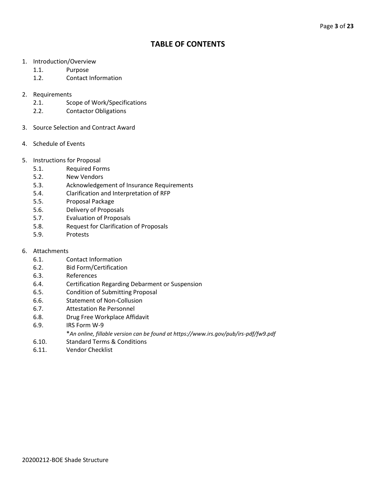## **TABLE OF CONTENTS**

- 1. Introduction/Overview
	- 1.1. Purpose
	- 1.2. Contact Information
- 2. Requirements
	- 2.1. Scope of Work/Specifications
	- 2.2. Contactor Obligations
- 3. Source Selection and Contract Award
- 4. Schedule of Events
- 5. Instructions for Proposal
	- 5.1. Required Forms
	- 5.2. New Vendors
	- 5.3. Acknowledgement of Insurance Requirements
	- 5.4. Clarification and Interpretation of RFP
	- 5.5. Proposal Package
	- 5.6. Delivery of Proposals
	- 5.7. Evaluation of Proposals
	- 5.8. Request for Clarification of Proposals
	- 5.9. Protests
- 6. Attachments
	- 6.1. Contact Information
	- 6.2. Bid Form/Certification
	- 6.3. References
	- 6.4. Certification Regarding Debarment or Suspension
	- 6.5. Condition of Submitting Proposal
	- 6.6. Statement of Non-Collusion
	- 6.7. Attestation Re Personnel
	- 6.8. Drug Free Workplace Affidavit
	- 6.9. IRS Form W-9
		- \**An online, fillable version can be found at https://www.irs.gov/pub/irs-pdf/fw9.pdf*
	- 6.10. Standard Terms & Conditions
	- 6.11. Vendor Checklist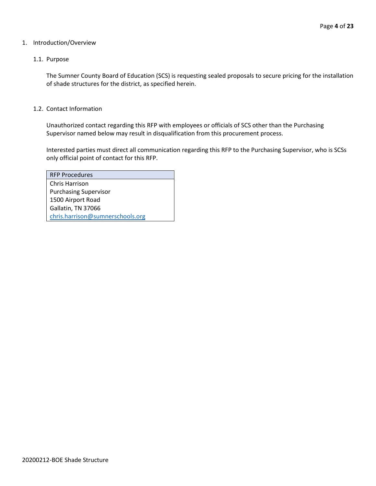#### 1. Introduction/Overview

#### 1.1. Purpose

The Sumner County Board of Education (SCS) is requesting sealed proposals to secure pricing for the installation of shade structures for the district, as specified herein.

#### 1.2. Contact Information

Unauthorized contact regarding this RFP with employees or officials of SCS other than the Purchasing Supervisor named below may result in disqualification from this procurement process.

Interested parties must direct all communication regarding this RFP to the Purchasing Supervisor, who is SCSs only official point of contact for this RFP.

| <b>RFP Procedures</b>            |
|----------------------------------|
| Chris Harrison                   |
| <b>Purchasing Supervisor</b>     |
| 1500 Airport Road                |
| Gallatin, TN 37066               |
| chris.harrison@sumnerschools.org |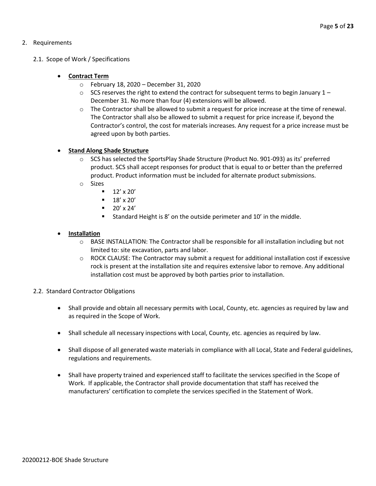#### 2. Requirements

#### 2.1. Scope of Work / Specifications

#### • **Contract Term**

- o February 18, 2020 December 31, 2020
- $\circ$  SCS reserves the right to extend the contract for subsequent terms to begin January 1 December 31. No more than four (4) extensions will be allowed.
- o The Contractor shall be allowed to submit a request for price increase at the time of renewal. The Contractor shall also be allowed to submit a request for price increase if, beyond the Contractor's control, the cost for materials increases. Any request for a price increase must be agreed upon by both parties.

#### **Stand Along Shade Structure**

- o SCS has selected the SportsPlay Shade Structure (Product No. 901-093) as its' preferred product. SCS shall accept responses for product that is equal to or better than the preferred product. Product information must be included for alternate product submissions.
- o Sizes
	- $\blacksquare$  12' x 20'
	- $\blacksquare$  18' x 20'
	- $\blacksquare$  20' x 24'
	- Standard Height is 8' on the outside perimeter and 10' in the middle.

#### • **Installation**

- o BASE INSTALLATION: The Contractor shall be responsible for all installation including but not limited to: site excavation, parts and labor.
- $\circ$  ROCK CLAUSE: The Contractor may submit a request for additional installation cost if excessive rock is present at the installation site and requires extensive labor to remove. Any additional installation cost must be approved by both parties prior to installation.
- 2.2. Standard Contractor Obligations
	- Shall provide and obtain all necessary permits with Local, County, etc. agencies as required by law and as required in the Scope of Work.
	- Shall schedule all necessary inspections with Local, County, etc. agencies as required by law.
	- Shall dispose of all generated waste materials in compliance with all Local, State and Federal guidelines, regulations and requirements.
	- Shall have property trained and experienced staff to facilitate the services specified in the Scope of Work. If applicable, the Contractor shall provide documentation that staff has received the manufacturers' certification to complete the services specified in the Statement of Work.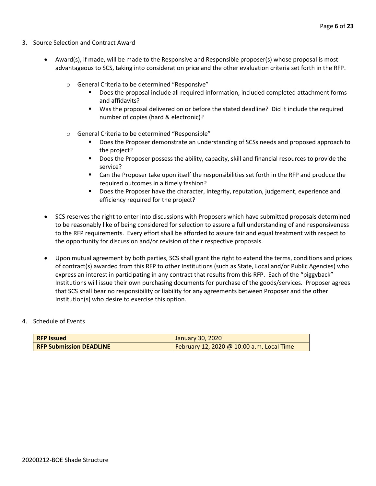- 3. Source Selection and Contract Award
	- Award(s), if made, will be made to the Responsive and Responsible proposer(s) whose proposal is most advantageous to SCS, taking into consideration price and the other evaluation criteria set forth in the RFP.
		- o General Criteria to be determined "Responsive"
			- Does the proposal include all required information, included completed attachment forms and affidavits?
			- Was the proposal delivered on or before the stated deadline? Did it include the required number of copies (hard & electronic)?
		- o General Criteria to be determined "Responsible"
			- Does the Proposer demonstrate an understanding of SCSs needs and proposed approach to the project?
			- Does the Proposer possess the ability, capacity, skill and financial resources to provide the service?
			- Can the Proposer take upon itself the responsibilities set forth in the RFP and produce the required outcomes in a timely fashion?
			- **■** Does the Proposer have the character, integrity, reputation, judgement, experience and efficiency required for the project?
	- SCS reserves the right to enter into discussions with Proposers which have submitted proposals determined to be reasonably like of being considered for selection to assure a full understanding of and responsiveness to the RFP requirements. Every effort shall be afforded to assure fair and equal treatment with respect to the opportunity for discussion and/or revision of their respective proposals.
	- Upon mutual agreement by both parties, SCS shall grant the right to extend the terms, conditions and prices of contract(s) awarded from this RFP to other Institutions (such as State, Local and/or Public Agencies) who express an interest in participating in any contract that results from this RFP. Each of the "piggyback" Institutions will issue their own purchasing documents for purchase of the goods/services. Proposer agrees that SCS shall bear no responsibility or liability for any agreements between Proposer and the other Institution(s) who desire to exercise this option.

#### 4. Schedule of Events

| <b>RFP Issued</b>              | January 30, 2020                          |
|--------------------------------|-------------------------------------------|
| <b>RFP Submission DEADLINE</b> | February 12, 2020 @ 10:00 a.m. Local Time |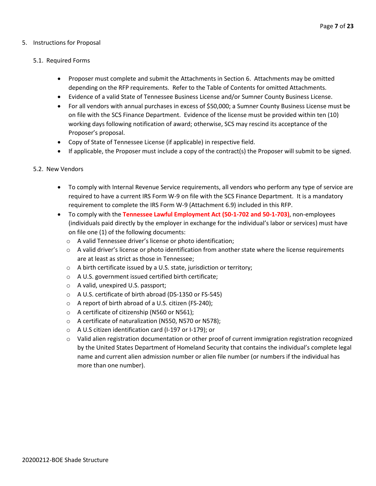#### 5. Instructions for Proposal

#### 5.1. Required Forms

- Proposer must complete and submit the Attachments in Section 6. Attachments may be omitted depending on the RFP requirements. Refer to the Table of Contents for omitted Attachments.
- Evidence of a valid State of Tennessee Business License and/or Sumner County Business License.
- For all vendors with annual purchases in excess of \$50,000; a Sumner County Business License must be on file with the SCS Finance Department. Evidence of the license must be provided within ten (10) working days following notification of award; otherwise, SCS may rescind its acceptance of the Proposer's proposal.
- Copy of State of Tennessee License (if applicable) in respective field.
- If applicable, the Proposer must include a copy of the contract(s) the Proposer will submit to be signed.

#### 5.2. New Vendors

- To comply with Internal Revenue Service requirements, all vendors who perform any type of service are required to have a current IRS Form W-9 on file with the SCS Finance Department. It is a mandatory requirement to complete the IRS Form W-9 (Attachment 6.9) included in this RFP.
- To comply with the **Tennessee Lawful Employment Act (50-1-702 and 50-1-703)**, non-employees (individuals paid directly by the employer in exchange for the individual's labor or services) must have on file one (1) of the following documents:
	- o A valid Tennessee driver's license or photo identification;
	- $\circ$  A valid driver's license or photo identification from another state where the license requirements are at least as strict as those in Tennessee;
	- o A birth certificate issued by a U.S. state, jurisdiction or territory;
	- o A U.S. government issued certified birth certificate;
	- o A valid, unexpired U.S. passport;
	- o A U.S. certificate of birth abroad (DS-1350 or FS-545)
	- o A report of birth abroad of a U.S. citizen (FS-240);
	- o A certificate of citizenship (N560 or N561);
	- o A certificate of naturalization (N550, N570 or N578);
	- o A U.S citizen identification card (I-197 or I-179); or
	- $\circ$  Valid alien registration documentation or other proof of current immigration registration recognized by the United States Department of Homeland Security that contains the individual's complete legal name and current alien admission number or alien file number (or numbers if the individual has more than one number).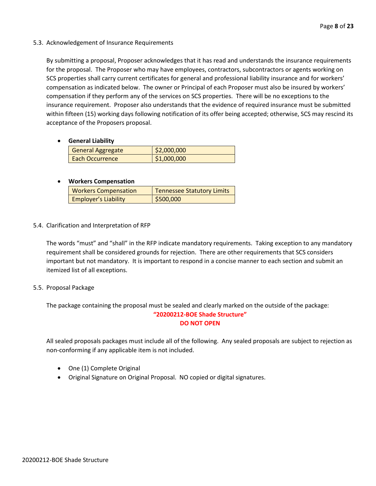5.3. Acknowledgement of Insurance Requirements

By submitting a proposal, Proposer acknowledges that it has read and understands the insurance requirements for the proposal. The Proposer who may have employees, contractors, subcontractors or agents working on SCS properties shall carry current certificates for general and professional liability insurance and for workers' compensation as indicated below. The owner or Principal of each Proposer must also be insured by workers' compensation if they perform any of the services on SCS properties. There will be no exceptions to the insurance requirement. Proposer also understands that the evidence of required insurance must be submitted within fifteen (15) working days following notification of its offer being accepted; otherwise, SCS may rescind its acceptance of the Proposers proposal.

• **General Liability**

| <b>General Aggregate</b> | \$2,000,000 |
|--------------------------|-------------|
| <b>Each Occurrence</b>   | \$1,000,000 |

#### • **Workers Compensation**

| <b>Workers Compensation</b> | <b>Tennessee Statutory Limits</b> |
|-----------------------------|-----------------------------------|
| <b>Employer's Liability</b> | \$500,000                         |

5.4. Clarification and Interpretation of RFP

The words "must" and "shall" in the RFP indicate mandatory requirements. Taking exception to any mandatory requirement shall be considered grounds for rejection. There are other requirements that SCS considers important but not mandatory. It is important to respond in a concise manner to each section and submit an itemized list of all exceptions.

#### 5.5. Proposal Package

The package containing the proposal must be sealed and clearly marked on the outside of the package:

#### **"20200212-BOE Shade Structure" DO NOT OPEN**

All sealed proposals packages must include all of the following. Any sealed proposals are subject to rejection as non-conforming if any applicable item is not included.

- One (1) Complete Original
- Original Signature on Original Proposal. NO copied or digital signatures.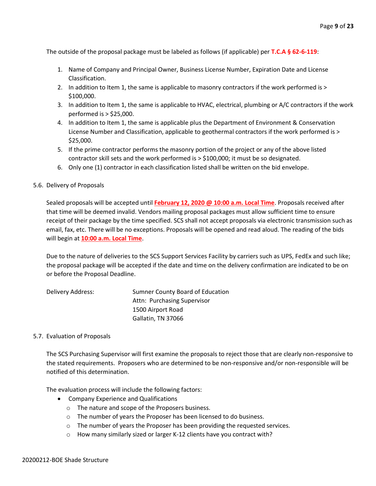The outside of the proposal package must be labeled as follows (if applicable) per **T.C.A § 62-6-119**:

- 1. Name of Company and Principal Owner, Business License Number, Expiration Date and License Classification.
- 2. In addition to Item 1, the same is applicable to masonry contractors if the work performed is > \$100,000.
- 3. In addition to Item 1, the same is applicable to HVAC, electrical, plumbing or A/C contractors if the work performed is > \$25,000.
- 4. In addition to Item 1, the same is applicable plus the Department of Environment & Conservation License Number and Classification, applicable to geothermal contractors if the work performed is > \$25,000.
- 5. If the prime contractor performs the masonry portion of the project or any of the above listed contractor skill sets and the work performed is > \$100,000; it must be so designated.
- 6. Only one (1) contractor in each classification listed shall be written on the bid envelope.

#### 5.6. Delivery of Proposals

Sealed proposals will be accepted until **February 12, 2020 @ 10:00 a.m. Local Time**. Proposals received after that time will be deemed invalid. Vendors mailing proposal packages must allow sufficient time to ensure receipt of their package by the time specified. SCS shall not accept proposals via electronic transmission such as email, fax, etc. There will be no exceptions. Proposals will be opened and read aloud. The reading of the bids will begin at **10:00 a.m. Local Time**.

Due to the nature of deliveries to the SCS Support Services Facility by carriers such as UPS, FedEx and such like; the proposal package will be accepted if the date and time on the delivery confirmation are indicated to be on or before the Proposal Deadline.

| Delivery Address: | Sumner County Board of Education |
|-------------------|----------------------------------|
|                   | Attn: Purchasing Supervisor      |
|                   | 1500 Airport Road                |
|                   | Gallatin, TN 37066               |

#### 5.7. Evaluation of Proposals

The SCS Purchasing Supervisor will first examine the proposals to reject those that are clearly non-responsive to the stated requirements. Proposers who are determined to be non-responsive and/or non-responsible will be notified of this determination.

The evaluation process will include the following factors:

- Company Experience and Qualifications
	- o The nature and scope of the Proposers business.
	- o The number of years the Proposer has been licensed to do business.
	- o The number of years the Proposer has been providing the requested services.
	- o How many similarly sized or larger K-12 clients have you contract with?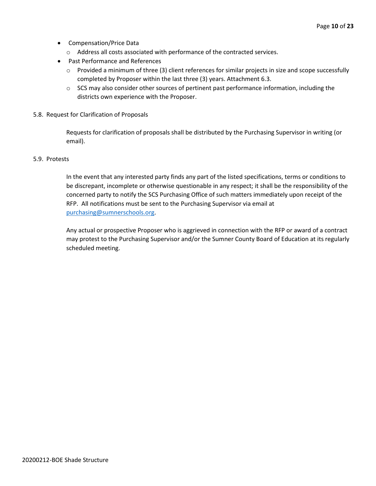- Compensation/Price Data
	- o Address all costs associated with performance of the contracted services.
- Past Performance and References
	- o Provided a minimum of three (3) client references for similar projects in size and scope successfully completed by Proposer within the last three (3) years. Attachment 6.3.
	- $\circ$  SCS may also consider other sources of pertinent past performance information, including the districts own experience with the Proposer.
- 5.8. Request for Clarification of Proposals

Requests for clarification of proposals shall be distributed by the Purchasing Supervisor in writing (or email).

#### 5.9. Protests

In the event that any interested party finds any part of the listed specifications, terms or conditions to be discrepant, incomplete or otherwise questionable in any respect; it shall be the responsibility of the concerned party to notify the SCS Purchasing Office of such matters immediately upon receipt of the RFP. All notifications must be sent to the Purchasing Supervisor via email at [purchasing@sumnerschools.org.](mailto:purchasing@sumnerschools.org)

Any actual or prospective Proposer who is aggrieved in connection with the RFP or award of a contract may protest to the Purchasing Supervisor and/or the Sumner County Board of Education at its regularly scheduled meeting.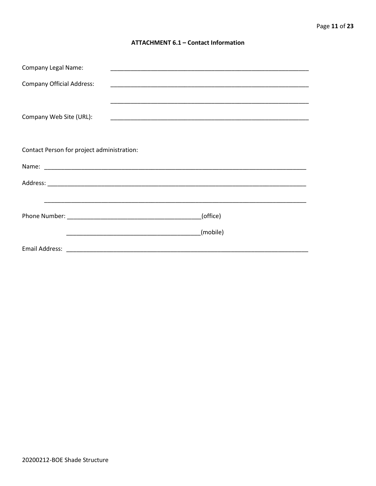#### **ATTACHMENT 6.1 - Contact Information**

| <b>Company Legal Name:</b>                 |          |  |
|--------------------------------------------|----------|--|
| <b>Company Official Address:</b>           |          |  |
|                                            |          |  |
| Company Web Site (URL):                    |          |  |
|                                            |          |  |
|                                            |          |  |
| Contact Person for project administration: |          |  |
|                                            |          |  |
|                                            |          |  |
|                                            |          |  |
|                                            | (office) |  |
|                                            |          |  |
|                                            | (mobile) |  |
|                                            |          |  |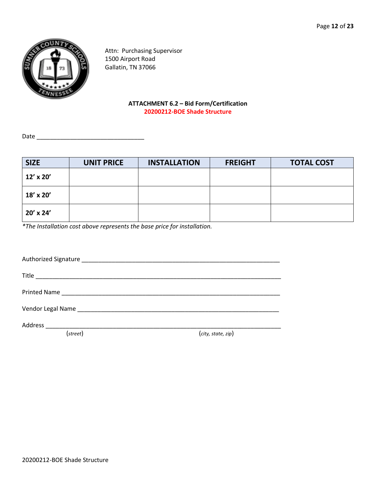

Attn: Purchasing Supervisor 1500 Airport Road Gallatin, TN 37066

#### **ATTACHMENT 6.2 – Bid Form/Certification 20200212-BOE Shade Structure**

Date \_\_\_\_\_\_\_\_\_\_\_\_\_\_\_\_\_\_\_\_\_\_\_\_\_\_\_\_\_\_\_\_

| <b>SIZE</b> | <b>UNIT PRICE</b> | <b>INSTALLATION</b> | <b>FREIGHT</b> | <b>TOTAL COST</b> |
|-------------|-------------------|---------------------|----------------|-------------------|
| 12' x 20'   |                   |                     |                |                   |
| 18' x 20'   |                   |                     |                |                   |
| 20' x 24'   |                   |                     |                |                   |

*\*The Installation cost above represents the base price for installation.*

Authorized Signature \_\_\_\_\_\_\_\_\_\_\_\_\_\_\_\_\_\_\_\_\_\_\_\_\_\_\_\_\_\_\_\_\_\_\_\_\_\_\_\_\_\_\_\_\_\_\_\_\_\_\_\_\_\_\_\_\_\_\_ Title \_\_\_\_\_\_\_\_\_\_\_\_\_\_\_\_\_\_\_\_\_\_\_\_\_\_\_\_\_\_\_\_\_\_\_\_\_\_\_\_\_\_\_\_\_\_\_\_\_\_\_\_\_\_\_\_\_\_\_\_\_\_\_\_\_\_\_\_\_\_\_\_\_ Printed Name \_\_\_\_\_\_\_\_\_\_\_\_\_\_\_\_\_\_\_\_\_\_\_\_\_\_\_\_\_\_\_\_\_\_\_\_\_\_\_\_\_\_\_\_\_\_\_\_\_\_\_\_\_\_\_\_\_\_\_\_\_\_\_\_\_ Vendor Legal Name \_\_\_\_\_\_\_\_\_\_\_\_\_\_\_\_\_\_\_\_\_\_\_\_\_\_\_\_\_\_\_\_\_\_\_\_\_\_\_\_\_\_\_\_\_\_\_\_\_\_\_\_\_\_\_\_\_\_\_\_ Address \_\_\_\_\_\_\_\_\_\_\_\_\_\_\_\_\_\_\_\_\_\_\_\_\_\_\_\_\_\_\_\_\_\_\_\_\_\_\_\_\_\_\_\_\_\_\_\_\_\_\_\_\_\_\_\_\_\_\_\_\_\_\_\_\_\_\_\_\_\_

(*street*) (*city, state, zip*)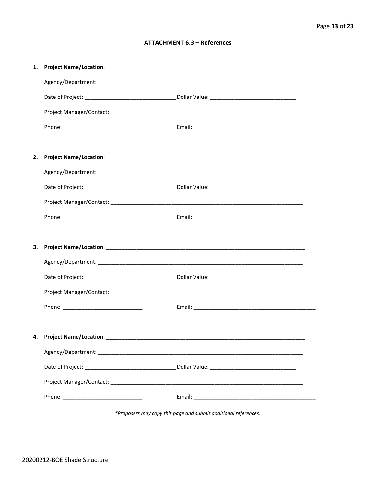#### **ATTACHMENT 6.3 - References**

| 1. |                                    |  |
|----|------------------------------------|--|
|    |                                    |  |
|    |                                    |  |
|    |                                    |  |
|    |                                    |  |
|    |                                    |  |
| 2. |                                    |  |
|    |                                    |  |
|    |                                    |  |
|    |                                    |  |
|    |                                    |  |
|    |                                    |  |
|    |                                    |  |
| 3. |                                    |  |
|    |                                    |  |
|    |                                    |  |
|    |                                    |  |
|    |                                    |  |
|    |                                    |  |
|    | 4. Project Name/Location: ________ |  |
|    |                                    |  |
|    |                                    |  |
|    |                                    |  |

\*Proposers may copy this page and submit additional references.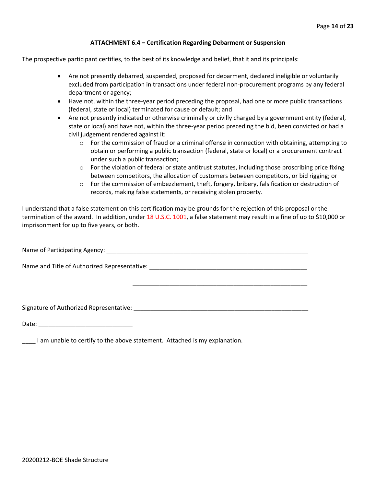#### **ATTACHMENT 6.4 – Certification Regarding Debarment or Suspension**

The prospective participant certifies, to the best of its knowledge and belief, that it and its principals:

- Are not presently debarred, suspended, proposed for debarment, declared ineligible or voluntarily excluded from participation in transactions under federal non-procurement programs by any federal department or agency;
- Have not, within the three-year period preceding the proposal, had one or more public transactions (federal, state or local) terminated for cause or default; and
- Are not presently indicated or otherwise criminally or civilly charged by a government entity (federal, state or local) and have not, within the three-year period preceding the bid, been convicted or had a civil judgement rendered against it:
	- $\circ$  For the commission of fraud or a criminal offense in connection with obtaining, attempting to obtain or performing a public transaction (federal, state or local) or a procurement contract under such a public transaction;
	- $\circ$  For the violation of federal or state antitrust statutes, including those proscribing price fixing between competitors, the allocation of customers between competitors, or bid rigging; or
	- $\circ$  For the commission of embezzlement, theft, forgery, bribery, falsification or destruction of records, making false statements, or receiving stolen property.

\_\_\_\_\_\_\_\_\_\_\_\_\_\_\_\_\_\_\_\_\_\_\_\_\_\_\_\_\_\_\_\_\_\_\_\_\_\_\_\_\_\_\_\_\_\_\_\_\_\_\_\_

I understand that a false statement on this certification may be grounds for the rejection of this proposal or the termination of the award. In addition, under 18 U.S.C. 1001, a false statement may result in a fine of up to \$10,000 or imprisonment for up to five years, or both.

Name of Participating Agency: \_\_\_\_\_\_\_\_\_\_\_\_\_\_\_\_\_\_\_\_\_\_\_\_\_\_\_\_\_\_\_\_\_\_\_\_\_\_\_\_\_\_\_\_\_\_\_\_\_\_\_\_\_\_\_\_\_\_\_\_

Name and Title of Authorized Representative: \_\_\_\_\_\_\_\_\_\_\_\_\_\_\_\_\_\_\_\_\_\_\_\_\_\_\_\_\_\_\_\_\_\_\_

Signature of Authorized Representative: \_\_\_\_\_\_\_\_\_\_\_\_\_\_\_\_\_\_\_\_\_\_\_\_\_\_\_\_\_\_\_\_\_\_\_\_\_\_\_\_\_\_\_\_\_\_\_\_\_\_\_\_

Date: \_\_\_\_\_\_\_\_\_\_\_\_\_\_\_\_\_\_\_\_\_\_\_\_\_\_\_\_

\_\_\_\_ I am unable to certify to the above statement. Attached is my explanation.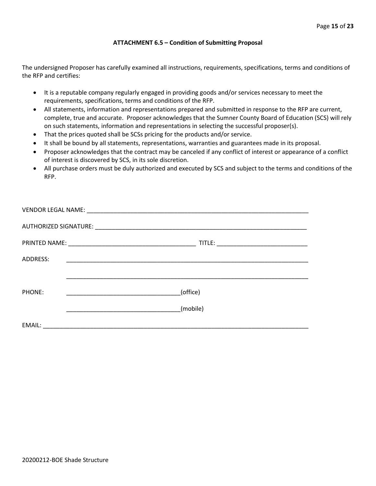#### **ATTACHMENT 6.5 – Condition of Submitting Proposal**

The undersigned Proposer has carefully examined all instructions, requirements, specifications, terms and conditions of the RFP and certifies:

- It is a reputable company regularly engaged in providing goods and/or services necessary to meet the requirements, specifications, terms and conditions of the RFP.
- All statements, information and representations prepared and submitted in response to the RFP are current, complete, true and accurate. Proposer acknowledges that the Sumner County Board of Education (SCS) will rely on such statements, information and representations in selecting the successful proposer(s).
- That the prices quoted shall be SCSs pricing for the products and/or service.
- It shall be bound by all statements, representations, warranties and guarantees made in its proposal.
- Proposer acknowledges that the contract may be canceled if any conflict of interest or appearance of a conflict of interest is discovered by SCS, in its sole discretion.
- All purchase orders must be duly authorized and executed by SCS and subject to the terms and conditions of the RFP.

| ADDRESS: |                                                     |
|----------|-----------------------------------------------------|
|          |                                                     |
|          |                                                     |
| PHONE:   | (office)<br><u> 1990 - Johann Barbara, martin a</u> |
|          | (mobile)                                            |
|          |                                                     |
| EMAIL:   |                                                     |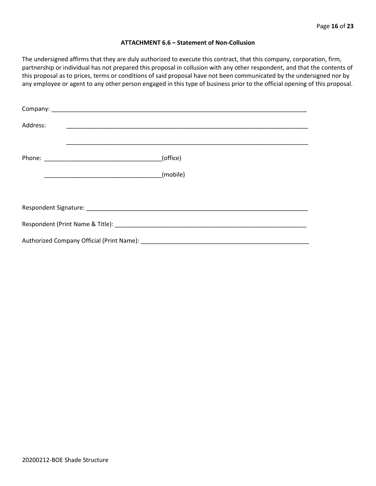#### **ATTACHMENT 6.6 – Statement of Non-Collusion**

The undersigned affirms that they are duly authorized to execute this contract, that this company, corporation, firm, partnership or individual has not prepared this proposal in collusion with any other respondent, and that the contents of this proposal as to prices, terms or conditions of said proposal have not been communicated by the undersigned nor by any employee or agent to any other person engaged in this type of business prior to the official opening of this proposal.

| Address: |          |  |  |  |  |  |  |
|----------|----------|--|--|--|--|--|--|
|          | (office) |  |  |  |  |  |  |
|          | (mobile) |  |  |  |  |  |  |
|          |          |  |  |  |  |  |  |
|          |          |  |  |  |  |  |  |
|          |          |  |  |  |  |  |  |
|          |          |  |  |  |  |  |  |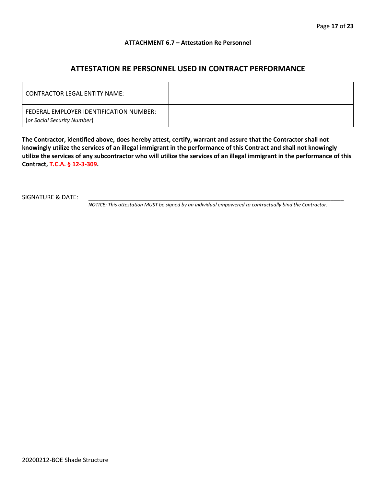#### **ATTACHMENT 6.7 – Attestation Re Personnel**

## **ATTESTATION RE PERSONNEL USED IN CONTRACT PERFORMANCE**

| CONTRACTOR LEGAL ENTITY NAME:                                          |  |
|------------------------------------------------------------------------|--|
| FEDERAL EMPLOYER IDENTIFICATION NUMBER:<br>(or Social Security Number) |  |

**The Contractor, identified above, does hereby attest, certify, warrant and assure that the Contractor shall not knowingly utilize the services of an illegal immigrant in the performance of this Contract and shall not knowingly utilize the services of any subcontractor who will utilize the services of an illegal immigrant in the performance of this Contract, T.C.A. § 12-3-309.**

SIGNATURE & DATE:

*NOTICE: This attestation MUST be signed by an individual empowered to contractually bind the Contractor.*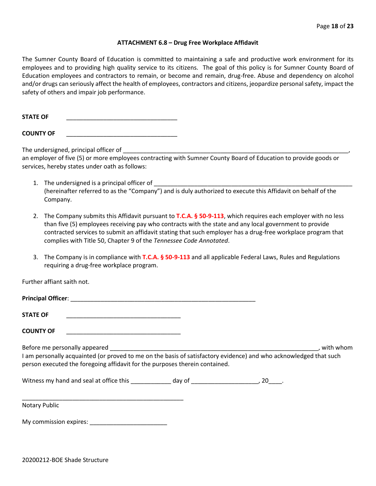#### **ATTACHMENT 6.8 – Drug Free Workplace Affidavit**

The Sumner County Board of Education is committed to maintaining a safe and productive work environment for its employees and to providing high quality service to its citizens. The goal of this policy is for Sumner County Board of Education employees and contractors to remain, or become and remain, drug-free. Abuse and dependency on alcohol and/or drugs can seriously affect the health of employees, contractors and citizens, jeopardize personal safety, impact the safety of others and impair job performance.

STATE OF

**COUNTY OF** \_\_\_\_\_\_\_\_\_\_\_\_\_\_\_\_\_\_\_\_\_\_\_\_\_\_\_\_\_\_\_\_\_

The undersigned, principal officer of

an employer of five (5) or more employees contracting with Sumner County Board of Education to provide goods or services, hereby states under oath as follows:

- 1. The undersigned is a principal officer of (hereinafter referred to as the "Company") and is duly authorized to execute this Affidavit on behalf of the Company.
- 2. The Company submits this Affidavit pursuant to **T.C.A. § 50-9-113**, which requires each employer with no less than five (5) employees receiving pay who contracts with the state and any local government to provide contracted services to submit an affidavit stating that such employer has a drug-free workplace program that complies with Title 50, Chapter 9 of the *Tennessee Code Annotated*.
- 3. The Company is in compliance with **T.C.A. § 50-9-113** and all applicable Federal Laws, Rules and Regulations requiring a drug-free workplace program.

Further affiant saith not.

| Principal Officer: |  |
|--------------------|--|
|                    |  |
| <b>STATE OF</b>    |  |

**COUNTY OF** \_\_\_\_\_\_\_\_\_\_\_\_\_\_\_\_\_\_\_\_\_\_\_\_\_\_\_\_\_\_\_\_\_\_

Before me personally appeared \_\_\_\_\_\_\_\_\_\_\_\_\_\_\_\_\_\_\_\_\_\_\_\_\_\_\_\_\_\_\_\_\_\_\_\_\_\_\_\_\_\_\_\_\_\_\_\_\_\_\_\_\_\_\_\_\_\_\_\_\_\_, with whom I am personally acquainted (or proved to me on the basis of satisfactory evidence) and who acknowledged that such person executed the foregoing affidavit for the purposes therein contained.

Witness my hand and seal at office this \_\_\_\_\_\_\_\_\_\_\_\_\_ day of \_\_\_\_\_\_\_\_\_\_\_\_\_\_\_\_\_\_\_\_\_, 20\_\_\_\_.

\_\_\_\_\_\_\_\_\_\_\_\_\_\_\_\_\_\_\_\_\_\_\_\_\_\_\_\_\_\_\_\_\_\_\_\_\_\_\_\_\_\_\_\_\_\_\_\_ Notary Public

My commission expires: \_\_\_\_\_\_\_\_\_\_\_\_\_\_\_\_\_\_\_\_\_\_\_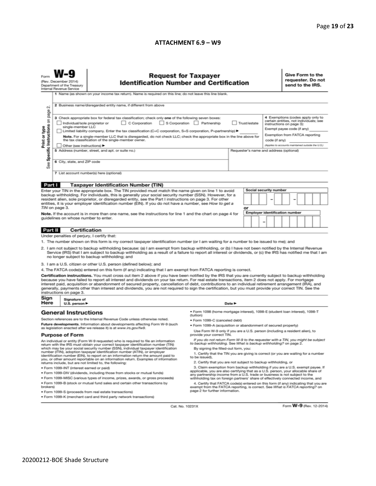#### **ATTACHMENT 6.9 – W9**

|                                                                                                                                                                                                                                                                                                                                             | <b>Request for Taxpayer</b><br>(Rev. December 2014)<br><b>Identification Number and Certification</b><br>Department of the Treasury<br>Internal Revenue Service<br>1 Name (as shown on your income tax return). Name is required on this line; do not leave this line blank. |                                                                                                                                                                                                                                                                                                                                                                                                                                                                                                                                                                                                                               |                                                                                                                                                                                                                                                        |    |                                                                                                      | Give Form to the<br>requester. Do not<br>send to the IRS.                                                                             |  |  |  |
|---------------------------------------------------------------------------------------------------------------------------------------------------------------------------------------------------------------------------------------------------------------------------------------------------------------------------------------------|------------------------------------------------------------------------------------------------------------------------------------------------------------------------------------------------------------------------------------------------------------------------------|-------------------------------------------------------------------------------------------------------------------------------------------------------------------------------------------------------------------------------------------------------------------------------------------------------------------------------------------------------------------------------------------------------------------------------------------------------------------------------------------------------------------------------------------------------------------------------------------------------------------------------|--------------------------------------------------------------------------------------------------------------------------------------------------------------------------------------------------------------------------------------------------------|----|------------------------------------------------------------------------------------------------------|---------------------------------------------------------------------------------------------------------------------------------------|--|--|--|
| $\sim$                                                                                                                                                                                                                                                                                                                                      | 2 Business name/disregarded entity name, if different from above                                                                                                                                                                                                             |                                                                                                                                                                                                                                                                                                                                                                                                                                                                                                                                                                                                                               |                                                                                                                                                                                                                                                        |    |                                                                                                      |                                                                                                                                       |  |  |  |
| Specific Instructions on page                                                                                                                                                                                                                                                                                                               | Individual/sole proprietor or<br>single-member LLC                                                                                                                                                                                                                           | 3 Check appropriate box for federal tax classification; check only one of the following seven boxes:<br>C Corporation<br>Limited liability company. Enter the tax classification (C=C corporation, S=S corporation, P=partnership) ▶                                                                                                                                                                                                                                                                                                                                                                                          | S Corporation Partnership<br>Trust/estate                                                                                                                                                                                                              |    |                                                                                                      | 4 Exemptions (codes apply only to<br>certain entities, not individuals; see<br>instructions on page 3):<br>Exempt payee code (if any) |  |  |  |
| Print or type                                                                                                                                                                                                                                                                                                                               | Note. For a single-member LLC that is disregarded, do not check LLC; check the appropriate box in the line above for<br>the tax classification of the single-member owner.<br>Other (see instructions) ▶                                                                     |                                                                                                                                                                                                                                                                                                                                                                                                                                                                                                                                                                                                                               |                                                                                                                                                                                                                                                        |    | Exemption from FATCA reporting<br>code (if any)<br>(Applies to accounts maintained outside the U.S.) |                                                                                                                                       |  |  |  |
| See                                                                                                                                                                                                                                                                                                                                         | 6 City, state, and ZIP code                                                                                                                                                                                                                                                  | 5 Address (number, street, and apt. or suite no.)                                                                                                                                                                                                                                                                                                                                                                                                                                                                                                                                                                             | Requester's name and address (optional)                                                                                                                                                                                                                |    |                                                                                                      |                                                                                                                                       |  |  |  |
|                                                                                                                                                                                                                                                                                                                                             | 7 List account number(s) here (optional)                                                                                                                                                                                                                                     |                                                                                                                                                                                                                                                                                                                                                                                                                                                                                                                                                                                                                               |                                                                                                                                                                                                                                                        |    |                                                                                                      |                                                                                                                                       |  |  |  |
| Part I                                                                                                                                                                                                                                                                                                                                      |                                                                                                                                                                                                                                                                              | <b>Taxpayer Identification Number (TIN)</b>                                                                                                                                                                                                                                                                                                                                                                                                                                                                                                                                                                                   |                                                                                                                                                                                                                                                        |    |                                                                                                      |                                                                                                                                       |  |  |  |
|                                                                                                                                                                                                                                                                                                                                             |                                                                                                                                                                                                                                                                              | Enter your TIN in the appropriate box. The TIN provided must match the name given on line 1 to avoid                                                                                                                                                                                                                                                                                                                                                                                                                                                                                                                          |                                                                                                                                                                                                                                                        |    | <b>Social security number</b>                                                                        |                                                                                                                                       |  |  |  |
|                                                                                                                                                                                                                                                                                                                                             |                                                                                                                                                                                                                                                                              | backup withholding. For individuals, this is generally your social security number (SSN). However, for a<br>resident alien, sole proprietor, or disregarded entity, see the Part I instructions on page 3. For other                                                                                                                                                                                                                                                                                                                                                                                                          |                                                                                                                                                                                                                                                        |    |                                                                                                      |                                                                                                                                       |  |  |  |
|                                                                                                                                                                                                                                                                                                                                             |                                                                                                                                                                                                                                                                              | entities, it is your employer identification number (EIN). If you do not have a number, see How to get a                                                                                                                                                                                                                                                                                                                                                                                                                                                                                                                      |                                                                                                                                                                                                                                                        |    |                                                                                                      |                                                                                                                                       |  |  |  |
|                                                                                                                                                                                                                                                                                                                                             | TIN on page 3.                                                                                                                                                                                                                                                               |                                                                                                                                                                                                                                                                                                                                                                                                                                                                                                                                                                                                                               |                                                                                                                                                                                                                                                        | or |                                                                                                      |                                                                                                                                       |  |  |  |
|                                                                                                                                                                                                                                                                                                                                             |                                                                                                                                                                                                                                                                              | Note. If the account is in more than one name, see the instructions for line 1 and the chart on page 4 for                                                                                                                                                                                                                                                                                                                                                                                                                                                                                                                    |                                                                                                                                                                                                                                                        |    | <b>Employer identification number</b>                                                                |                                                                                                                                       |  |  |  |
|                                                                                                                                                                                                                                                                                                                                             | guidelines on whose number to enter.                                                                                                                                                                                                                                         |                                                                                                                                                                                                                                                                                                                                                                                                                                                                                                                                                                                                                               |                                                                                                                                                                                                                                                        | -  |                                                                                                      |                                                                                                                                       |  |  |  |
| Part II                                                                                                                                                                                                                                                                                                                                     | Certification                                                                                                                                                                                                                                                                |                                                                                                                                                                                                                                                                                                                                                                                                                                                                                                                                                                                                                               |                                                                                                                                                                                                                                                        |    |                                                                                                      |                                                                                                                                       |  |  |  |
|                                                                                                                                                                                                                                                                                                                                             | Under penalties of perjury, I certify that:                                                                                                                                                                                                                                  |                                                                                                                                                                                                                                                                                                                                                                                                                                                                                                                                                                                                                               |                                                                                                                                                                                                                                                        |    |                                                                                                      |                                                                                                                                       |  |  |  |
|                                                                                                                                                                                                                                                                                                                                             |                                                                                                                                                                                                                                                                              | 1. The number shown on this form is my correct taxpayer identification number (or I am waiting for a number to be issued to me); and                                                                                                                                                                                                                                                                                                                                                                                                                                                                                          |                                                                                                                                                                                                                                                        |    |                                                                                                      |                                                                                                                                       |  |  |  |
|                                                                                                                                                                                                                                                                                                                                             |                                                                                                                                                                                                                                                                              | 2. I am not subject to backup withholding because: (a) I am exempt from backup withholding, or (b) I have not been notified by the Internal Revenue<br>Service (IRS) that I am subject to backup withholding as a result of a failure to report all interest or dividends, or (c) the IRS has notified me that I am<br>no longer subject to backup withholding; and                                                                                                                                                                                                                                                           |                                                                                                                                                                                                                                                        |    |                                                                                                      |                                                                                                                                       |  |  |  |
|                                                                                                                                                                                                                                                                                                                                             |                                                                                                                                                                                                                                                                              | 3. I am a U.S. citizen or other U.S. person (defined below); and                                                                                                                                                                                                                                                                                                                                                                                                                                                                                                                                                              |                                                                                                                                                                                                                                                        |    |                                                                                                      |                                                                                                                                       |  |  |  |
|                                                                                                                                                                                                                                                                                                                                             |                                                                                                                                                                                                                                                                              | 4. The FATCA code(s) entered on this form (if any) indicating that I am exempt from FATCA reporting is correct.                                                                                                                                                                                                                                                                                                                                                                                                                                                                                                               |                                                                                                                                                                                                                                                        |    |                                                                                                      |                                                                                                                                       |  |  |  |
|                                                                                                                                                                                                                                                                                                                                             | instructions on page 3.                                                                                                                                                                                                                                                      | Certification instructions. You must cross out item 2 above if you have been notified by the IRS that you are currently subject to backup withholding<br>because you have failed to report all interest and dividends on your tax return. For real estate transactions, item 2 does not apply. For mortgage<br>interest paid, acquisition or abandonment of secured property, cancellation of debt, contributions to an individual retirement arrangement (IRA), and<br>generally, payments other than interest and dividends, you are not required to sign the certification, but you must provide your correct TIN. See the |                                                                                                                                                                                                                                                        |    |                                                                                                      |                                                                                                                                       |  |  |  |
| Sign<br>Here                                                                                                                                                                                                                                                                                                                                | Signature of<br>U.S. person $\blacktriangleright$                                                                                                                                                                                                                            |                                                                                                                                                                                                                                                                                                                                                                                                                                                                                                                                                                                                                               | Date P                                                                                                                                                                                                                                                 |    |                                                                                                      |                                                                                                                                       |  |  |  |
|                                                                                                                                                                                                                                                                                                                                             | <b>General Instructions</b>                                                                                                                                                                                                                                                  |                                                                                                                                                                                                                                                                                                                                                                                                                                                                                                                                                                                                                               | ● Form 1098 (home mortgage interest), 1098-E (student loan interest), 1098-T<br>(tuition)                                                                                                                                                              |    |                                                                                                      |                                                                                                                                       |  |  |  |
|                                                                                                                                                                                                                                                                                                                                             |                                                                                                                                                                                                                                                                              | Section references are to the Internal Revenue Code unless otherwise noted.                                                                                                                                                                                                                                                                                                                                                                                                                                                                                                                                                   | · Form 1099-C (canceled debt)                                                                                                                                                                                                                          |    |                                                                                                      |                                                                                                                                       |  |  |  |
|                                                                                                                                                                                                                                                                                                                                             |                                                                                                                                                                                                                                                                              | Future developments. Information about developments affecting Form W-9 (such                                                                                                                                                                                                                                                                                                                                                                                                                                                                                                                                                  | . Form 1099-A (acquisition or abandonment of secured property)                                                                                                                                                                                         |    |                                                                                                      |                                                                                                                                       |  |  |  |
| as legislation enacted after we release it) is at www.irs.gov/fw9.<br><b>Purpose of Form</b>                                                                                                                                                                                                                                                |                                                                                                                                                                                                                                                                              | Use Form W-9 only if you are a U.S. person (including a resident alien), to<br>provide your correct TIN.                                                                                                                                                                                                                                                                                                                                                                                                                                                                                                                      |                                                                                                                                                                                                                                                        |    |                                                                                                      |                                                                                                                                       |  |  |  |
| An individual or entity (Form W-9 requester) who is required to file an information<br>return with the IRS must obtain your correct taxpayer identification number (TIN)                                                                                                                                                                    |                                                                                                                                                                                                                                                                              |                                                                                                                                                                                                                                                                                                                                                                                                                                                                                                                                                                                                                               | If you do not return Form W-9 to the requester with a TIN, you might be subject<br>to backup withholding. See What is backup withholding? on page 2.                                                                                                   |    |                                                                                                      |                                                                                                                                       |  |  |  |
| which may be your social security number (SSN), individual taxpayer identification<br>number (ITIN), adoption taxpayer identification number (ATIN), or employer<br>identification number (EIN), to report on an information return the amount paid to<br>you, or other amount reportable on an information return. Examples of information |                                                                                                                                                                                                                                                                              |                                                                                                                                                                                                                                                                                                                                                                                                                                                                                                                                                                                                                               | By signing the filled-out form, you:<br>1. Certify that the TIN you are giving is correct (or you are waiting for a number<br>to be issued).                                                                                                           |    |                                                                                                      |                                                                                                                                       |  |  |  |
|                                                                                                                                                                                                                                                                                                                                             |                                                                                                                                                                                                                                                                              | returns include, but are not limited to, the following:                                                                                                                                                                                                                                                                                                                                                                                                                                                                                                                                                                       | 2. Certify that you are not subject to backup withholding, or                                                                                                                                                                                          |    |                                                                                                      |                                                                                                                                       |  |  |  |
|                                                                                                                                                                                                                                                                                                                                             | · Form 1099-INT (interest earned or paid)                                                                                                                                                                                                                                    |                                                                                                                                                                                                                                                                                                                                                                                                                                                                                                                                                                                                                               | 3. Claim exemption from backup withholding if you are a U.S. exempt payee. If                                                                                                                                                                          |    |                                                                                                      |                                                                                                                                       |  |  |  |
|                                                                                                                                                                                                                                                                                                                                             |                                                                                                                                                                                                                                                                              | . Form 1099-DIV (dividends, including those from stocks or mutual funds)                                                                                                                                                                                                                                                                                                                                                                                                                                                                                                                                                      | applicable, you are also certifying that as a U.S. person, your allocable share of<br>any partnership income from a U.S. trade or business is not subject to the                                                                                       |    |                                                                                                      |                                                                                                                                       |  |  |  |
| . Form 1099-MISC (various types of income, prizes, awards, or gross proceeds)<br>. Form 1099-B (stock or mutual fund sales and certain other transactions by<br>brokers)                                                                                                                                                                    |                                                                                                                                                                                                                                                                              |                                                                                                                                                                                                                                                                                                                                                                                                                                                                                                                                                                                                                               | withholding tax on foreign partners' share of effectively connected income, and<br>4. Certify that FATCA code(s) entered on this form (if any) indicating that you are<br>exempt from the FATCA reporting, is correct. See What is FATCA reporting? on |    |                                                                                                      |                                                                                                                                       |  |  |  |
| page 2 for further information.<br>· Form 1099-S (proceeds from real estate transactions)                                                                                                                                                                                                                                                   |                                                                                                                                                                                                                                                                              |                                                                                                                                                                                                                                                                                                                                                                                                                                                                                                                                                                                                                               |                                                                                                                                                                                                                                                        |    |                                                                                                      |                                                                                                                                       |  |  |  |
|                                                                                                                                                                                                                                                                                                                                             |                                                                                                                                                                                                                                                                              | . Form 1099-K (merchant card and third party network transactions)                                                                                                                                                                                                                                                                                                                                                                                                                                                                                                                                                            |                                                                                                                                                                                                                                                        |    |                                                                                                      |                                                                                                                                       |  |  |  |

Cat. No. 10231X

Form **W-9** (Rev. 12-2014)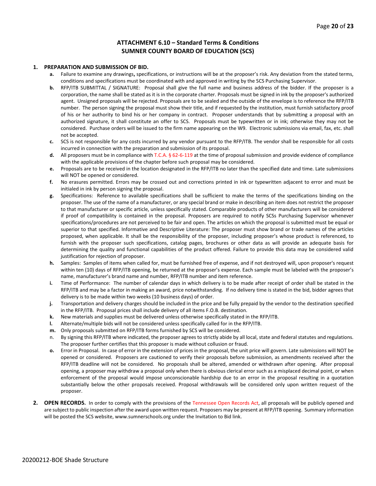#### **ATTACHMENT 6.10 – Standard Terms & Conditions SUMNER COUNTY BOARD OF EDUCATION (SCS)**

#### **1. PREPARATION AND SUBMISSION OF BID.**

- **a.** Failure to examine any drawings**,** specifications, or instructions will be at the proposer's risk. Any deviation from the stated terms, conditions and specifications must be coordinated with and approved in writing by the SCS Purchasing Supervisor.
- **b.** RFP/ITB SUBMITTAL / SIGNATURE: Proposal shall give the full name and business address of the bidder. If the proposer is a corporation, the name shall be stated as it is in the corporate charter. Proposals must be signed in ink by the proposer's authorized agent. Unsigned proposals will be rejected. Proposals are to be sealed and the outside of the envelope is to reference the RFP/ITB number. The person signing the proposal must show their title, and if requested by the institution, must furnish satisfactory proof of his or her authority to bind his or her company in contract. Proposer understands that by submitting a proposal with an authorized signature, it shall constitute an offer to SCS. Proposals must be typewritten or in ink; otherwise they may not be considered. Purchase orders will be issued to the firm name appearing on the W9. Electronic submissions via email, fax, etc. shall not be accepted.
- **c.** SCS is not responsible for any costs incurred by any vendor pursuant to the RFP/ITB. The vendor shall be responsible for all costs incurred in connection with the preparation and submission of its proposal.
- **d.** All proposers must be in compliance with T.C.A. § 62-6-119 at the time of proposal submission and provide evidence of compliance with the applicable provisions of the chapter before such proposal may be considered.
- **e.** Proposals are to be received in the location designated in the RFP/ITB no later than the specified date and time. Late submissions will NOT be opened or considered.
- **f.** No erasures permitted. Errors may be crossed out and corrections printed in ink or typewritten adjacent to error and must be initialed in ink by person signing the proposal.
- **g.** Specifications: Reference to available specifications shall be sufficient to make the terms of the specifications binding on the proposer. The use of the name of a manufacturer, or any special brand or make in describing an item does not restrict the proposer to that manufacturer or specific article, unless specifically stated. Comparable products of other manufacturers will be considered if proof of compatibility is contained in the proposal. Proposers are required to notify SCSs Purchasing Supervisor whenever specifications/procedures are not perceived to be fair and open. The articles on which the proposal is submitted must be equal or superior to that specified. Informative and Descriptive Literature: The proposer must show brand or trade names of the articles proposed, when applicable. It shall be the responsibility of the proposer, including proposer's whose product is referenced, to furnish with the proposer such specifications, catalog pages, brochures or other data as will provide an adequate basis for determining the quality and functional capabilities of the product offered. Failure to provide this data may be considered valid justification for rejection of proposer.
- **h.** Samples: Samples of items when called for, must be furnished free of expense, and if not destroyed will, upon proposer's request within ten (10) days of RFP/ITB opening, be returned at the proposer's expense. Each sample must be labeled with the proposer's name, manufacturer's brand name and number, RFP/ITB number and item reference.
- **i.** Time of Performance: The number of calendar days in which delivery is to be made after receipt of order shall be stated in the RFP/ITB and may be a factor in making an award, price notwithstanding. If no delivery time is stated in the bid, bidder agrees that delivery is to be made within two weeks (10 business days) of order.
- **j.** Transportation and delivery charges should be included in the price and be fully prepaid by the vendor to the destination specified in the RFP/ITB. Proposal prices shall include delivery of all items F.O.B. destination.
- **k.** New materials and supplies must be delivered unless otherwise specifically stated in the RFP/ITB.
- **l.** Alternate/multiple bids will not be considered unless specifically called for in the RFP/ITB.
- **m.** Only proposals submitted on RFP/ITB forms furnished by SCS will be considered.
- n. By signing this RFP/ITB where indicated, the proposer agrees to strictly abide by all local, state and federal statutes and regulations. The proposer further certifies that this proposer is made without collusion or fraud.
- **o.** Error in Proposal. In case of error in the extension of prices in the proposal, the unit price will govern. Late submissions will NOT be opened or considered. Proposers are cautioned to verify their proposals before submission, as amendments received after the RFP/ITB deadline will not be considered. No proposals shall be altered, amended or withdrawn after opening. After proposal opening, a proposer may withdraw a proposal only when there is obvious clerical error such as a misplaced decimal point, or when enforcement of the proposal would impose unconscionable hardship due to an error in the proposal resulting in a quotation substantially below the other proposals received. Proposal withdrawals will be considered only upon written request of the proposer.
- **2. OPEN RECORDS.** In order to comply with the provisions of the Tennessee Open Records Act, all proposals will be publicly opened and are subject to public inspection after the award upon written request. Proposers may be present at RFP/ITB opening. Summary information will be posted the SCS website, www.sumnerschools.org under the Invitation to Bid link.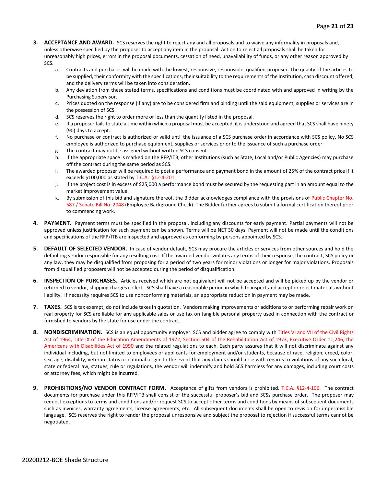- **3. ACCEPTANCE AND AWARD.** SCS reserves the right to reject any and all proposals and to waive any informality in proposals and, unless otherwise specified by the proposer to accept any item in the proposal. Action to reject all proposals shall be taken for unreasonably high prices, errors in the proposal documents, cessation of need, unavailability of funds, or any other reason approved by SCS.
	- a. Contracts and purchases will be made with the lowest, responsive, responsible, qualified proposer. The quality of the articles to be supplied, their conformity with the specifications, their suitability to the requirements of the Institution, cash discount offered, and the delivery terms will be taken into consideration.
	- b. Any deviation from these stated terms, specifications and conditions must be coordinated with and approved in writing by the Purchasing Supervisor.
	- c. Prices quoted on the response (if any) are to be considered firm and binding until the said equipment, supplies or services are in the possession of SCS.
	- d. SCS reserves the right to order more or less than the quantity listed in the proposal.
	- e. If a proposer fails to state a time within which a proposal must be accepted, it is understood and agreed that SCS shall have ninety (90) days to accept.
	- f. No purchase or contract is authorized or valid until the issuance of a SCS purchase order in accordance with SCS policy. No SCS employee is authorized to purchase equipment, supplies or services prior to the issuance of such a purchase order.
	- g. The contract may not be assigned without written SCS consent.
	- h. If the appropriate space is marked on the RFP/ITB, other Institutions (such as State, Local and/or Public Agencies) may purchase off the contract during the same period as SCS.
	- i. The awarded proposer will be required to post a performance and payment bond in the amount of 25% of the contract price if it exceeds \$100,000 as stated by T.C.A. §12-4-201.
	- j. If the project cost is in excess of \$25,000 a performance bond must be secured by the requesting part in an amount equal to the market improvement value.
	- k. By submission of this bid and signature thereof, the Bidder acknowledges compliance with the provisions of Public Chapter No. 587 / Senate Bill No. 2048 (Employee Background Check). The Bidder further agrees to submit a formal certification thereof prior to commencing work.
- **4. PAYMENT**. Payment terms must be specified in the proposal, including any discounts for early payment. Partial payments will not be approved unless justification for such payment can be shown. Terms will be NET 30 days. Payment will not be made until the conditions and specifications of the RFP/ITB are inspected and approved as conforming by persons appointed by SCS.
- **5. DEFAULT OF SELECTED VENDOR.** In case of vendor default, SCS may procure the articles or services from other sources and hold the defaulting vendor responsible for any resulting cost. If the awarded vendor violates any terms of their response, the contract, SCS policy or any law, they may be disqualified from proposing for a period of two years for minor violations or longer for major violations. Proposals from disqualified proposers will not be accepted during the period of disqualification.
- **6. INSPECTION OF PURCHASES.** Articles received which are not equivalent will not be accepted and will be picked up by the vendor or returned to vendor, shipping charges collect. SCS shall have a reasonable period in which to inspect and accept or reject materials without liability. If necessity requires SCS to use nonconforming materials, an appropriate reduction in payment may be made.
- **7. TAXES.** SCS is tax exempt; do not include taxes in quotation. Vendors making improvements or additions to or performing repair work on real property for SCS are liable for any applicable sales or use tax on tangible personal property used in connection with the contract or furnished to vendors by the state for use under the contract.
- **8. NONDISCRIMINATION.** SCS is an equal opportunity employer. SCS and bidder agree to comply with Titles VI and VII of the Civil Rights Act of 1964, Title IX of the Education Amendments of 1972, Section 504 of the Rehabilitation Act of 1973, Executive Order 11,246, the Americans with Disabilities Act of 1990 and the related regulations to each. Each party assures that it will not discriminate against any individual including, but not limited to employees or applicants for employment and/or students, because of race, religion, creed, color, sex, age, disability, veteran status or national origin. In the event that any claims should arise with regards to violations of any such local, state or federal law, statues, rule or regulations, the vendor will indemnify and hold SCS harmless for any damages, including court costs or attorney fees, which might be incurred.
- **9. PROHIBITIONS/NO VENDOR CONTRACT FORM.** Acceptance of gifts from vendors is prohibited. T.C.A. §12-4-106. The contract documents for purchase under this RFP/ITB shall consist of the successful proposer's bid and SCSs purchase order. The proposer may request exceptions to terms and conditions and/or request SCS to accept other terms and conditions by means of subsequent documents such as invoices, warranty agreements, license agreements, etc. All subsequent documents shall be open to revision for impermissible language. SCS reserves the right to render the proposal unresponsive and subject the proposal to rejection if successful terms cannot be negotiated.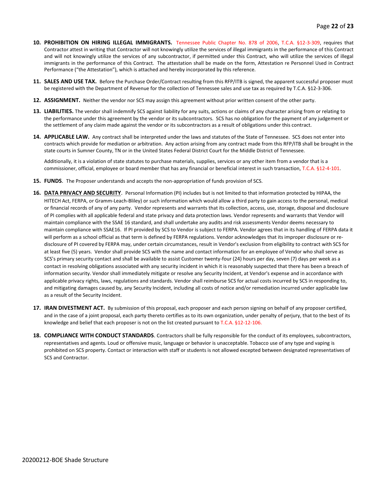- **10. PROHIBITION ON HIRING ILLEGAL IMMIGRANTS.** Tennessee Public Chapter No. 878 of 2006, T.C.A. §12-3-309, requires that Contractor attest in writing that Contractor will not knowingly utilize the services of illegal immigrants in the performance of this Contract and will not knowingly utilize the services of any subcontractor, if permitted under this Contract, who will utilize the services of illegal immigrants in the performance of this Contract. The attestation shall be made on the form, Attestation re Personnel Used in Contract Performance ("the Attestation"), which is attached and hereby incorporated by this reference.
- **11. SALES AND USE TAX.** Before the Purchase Order/Contract resulting from this RFP/ITB is signed, the apparent successful proposer must be registered with the Department of Revenue for the collection of Tennessee sales and use tax as required by T.C.A. §12-3-306.
- **12. ASSIGNMENT.** Neither the vendor nor SCS may assign this agreement without prior written consent of the other party.
- **13. LIABILITIES.** The vendor shall indemnify SCS against liability for any suits, actions or claims of any character arising from or relating to the performance under this agreement by the vendor or its subcontractors. SCS has no obligation for the payment of any judgement or the settlement of any claim made against the vendor or its subcontractors as a result of obligations under this contract.
- **14. APPLICABLE LAW.** Any contract shall be interpreted under the laws and statutes of the State of Tennessee. SCS does not enter into contracts which provide for mediation or arbitration. Any action arising from any contract made from this RFP/ITB shall be brought in the state courts in Sumner County, TN or in the United States Federal District Court for the Middle District of Tennessee.

Additionally, it is a violation of state statutes to purchase materials, supplies, services or any other item from a vendor that is a commissioner, official, employee or board member that has any financial or beneficial interest in such transaction, T.C.A. §12-4-101.

- **15. FUNDS**. The Proposer understands and accepts the non-appropriation of funds provision of SCS.
- **16. DATA PRIVACY AND SECURITY**. Personal Information (PI) includes but is not limited to that information protected by HIPAA, the HITECH Act, FERPA, or Gramm-Leach-Bliley) or such information which would allow a third party to gain access to the personal, medical or financial records of any of any party. Vendor represents and warrants that its collection, access, use, storage, disposal and disclosure of PI complies with all applicable federal and state privacy and data protection laws. Vendor represents and warrants that Vendor will maintain compliance with the SSAE 16 standard, and shall undertake any audits and risk assessments Vendor deems necessary to maintain compliance with SSAE16. If PI provided by SCS to Vendor is subject to FERPA. Vendor agrees that in its handling of FERPA data it will perform as a school official as that term is defined by FERPA regulations. Vendor acknowledges that its improper disclosure or redisclosure of PI covered by FERPA may, under certain circumstances, result in Vendor's exclusion from eligibility to contract with SCS for at least five (5) years. Vendor shall provide SCS with the name and contact information for an employee of Vendor who shall serve as SCS's primary security contact and shall be available to assist Customer twenty-four (24) hours per day, seven (7) days per week as a contact in resolving obligations associated with any security incident in which it is reasonably suspected that there has been a breach of information security. Vendor shall immediately mitigate or resolve any Security Incident, at Vendor's expense and in accordance with applicable privacy rights, laws, regulations and standards. Vendor shall reimburse SCS for actual costs incurred by SCS in responding to, and mitigating damages caused by, any Security Incident, including all costs of notice and/or remediation incurred under applicable law as a result of the Security Incident.
- **17. IRAN DIVESTMENT ACT.** By submission of this proposal, each proposer and each person signing on behalf of any proposer certified, and in the case of a joint proposal, each party thereto certifies as to its own organization, under penalty of perjury, that to the best of its knowledge and belief that each proposer is not on the list created pursuant to T.C.A. §12-12-106.
- **18. COMPLIANCE WITH CONDUCT STANDARDS**. Contractors shall be fully responsible for the conduct of its employees, subcontractors, representatives and agents. Loud or offensive music, language or behavior is unacceptable. Tobacco use of any type and vaping is prohibited on SCS property. Contact or interaction with staff or students is not allowed excepted between designated representatives of SCS and Contractor.